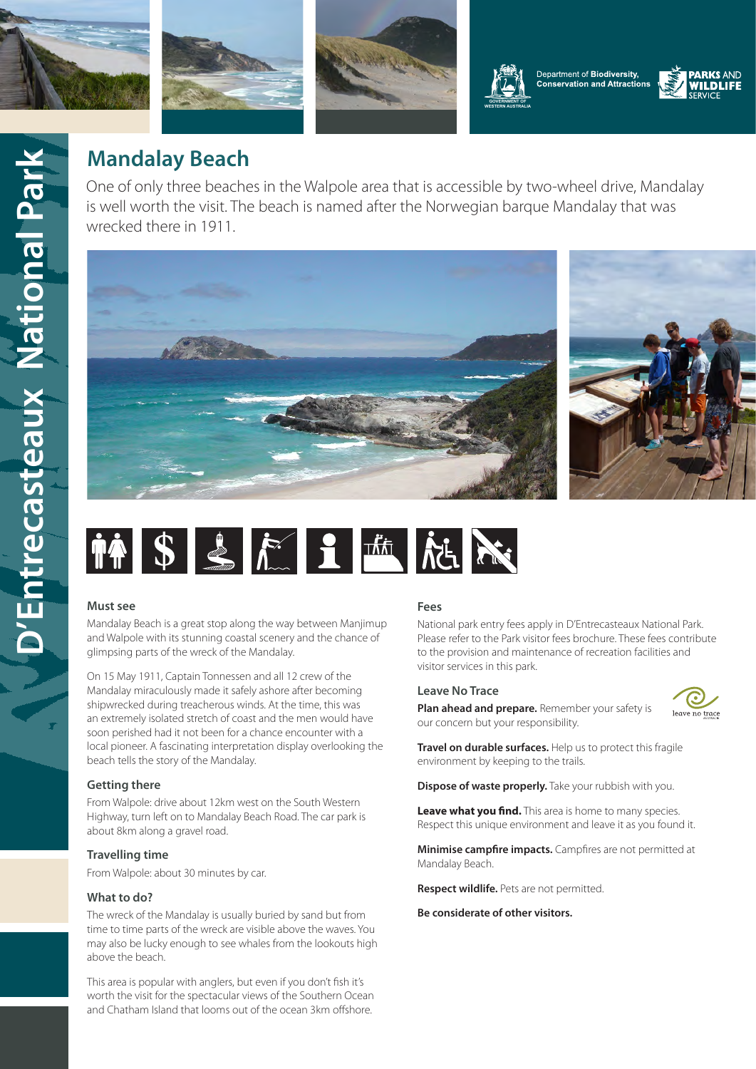











# **Mandalay Beach**

One of only three beaches in the Walpole area that is accessible by two-wheel drive, Mandalay is well worth the visit. The beach is named after the Norwegian barque Mandalay that was wrecked there in 1911.







#### **Must see**

Mandalay Beach is a great stop along the way between Manjimup and Walpole with its stunning coastal scenery and the chance of glimpsing parts of the wreck of the Mandalay.

On 15 May 1911, Captain Tonnessen and all 12 crew of the Mandalay miraculously made it safely ashore after becoming shipwrecked during treacherous winds. At the time, this was an extremely isolated stretch of coast and the men would have soon perished had it not been for a chance encounter with a local pioneer. A fascinating interpretation display overlooking the beach tells the story of the Mandalay.

## **Getting there**

From Walpole: drive about 12km west on the South Western Highway, turn left on to Mandalay Beach Road. The car park is about 8km along a gravel road.

#### **Travelling time**

From Walpole: about 30 minutes by car.

#### **What to do?**

The wreck of the Mandalay is usually buried by sand but from time to time parts of the wreck are visible above the waves. You may also be lucky enough to see whales from the lookouts high above the beach.

This area is popular with anglers, but even if you don't fish it's worth the visit for the spectacular views of the Southern Ocean and Chatham Island that looms out of the ocean 3km offshore.

#### **Fees**

National park entry fees apply in D'Entrecasteaux National Park. Please refer to the Park visitor fees brochure. These fees contribute to the provision and maintenance of recreation facilities and visitor services in this park.

#### **Leave No Trace**

**Plan ahead and prepare.** Remember your safety is our concern but your responsibility.



**Travel on durable surfaces.** Help us to protect this fragile environment by keeping to the trails.

**Dispose of waste properly.** Take your rubbish with you.

**Leave what you find.** This area is home to many species. Respect this unique environment and leave it as you found it.

**Minimise campfire impacts.** Campfires are not permitted at Mandalay Beach.

**Respect wildlife.** Pets are not permitted.

#### **Be considerate of other visitors.**